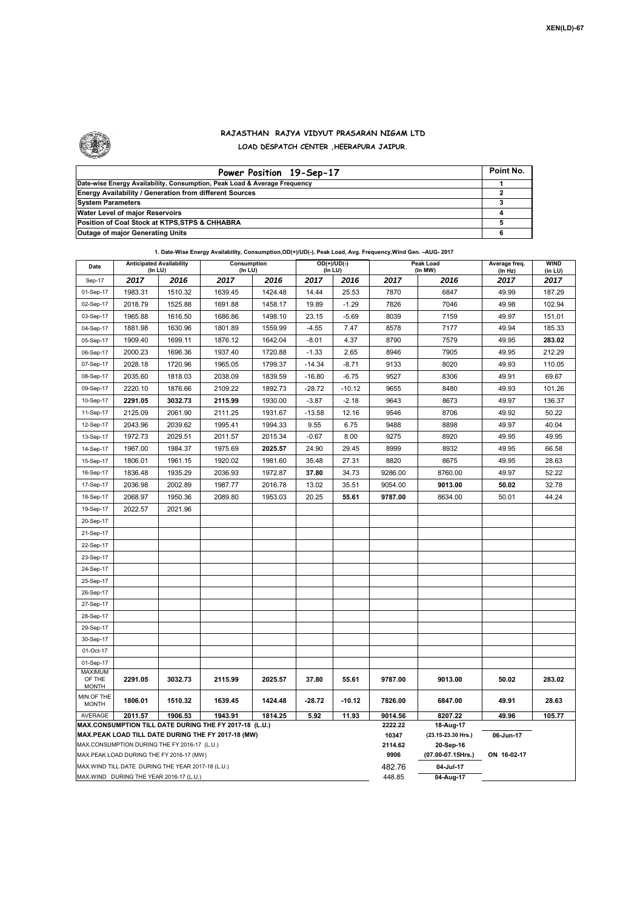

## **RAJASTHAN RAJYA VIDYUT PRASARAN NIGAM LTD LOAD DESPATCH CENTER ,HEERAPURA JAIPUR.**

| Power Position 19-Sep-17                                                  | Point No. |
|---------------------------------------------------------------------------|-----------|
| Date-wise Energy Availability, Consumption, Peak Load & Average Frequency |           |
| <b>Energy Availability / Generation from different Sources</b>            |           |
| <b>System Parameters</b>                                                  |           |
| Water Level of major Reservoirs                                           |           |
| Position of Coal Stock at KTPS, STPS & CHHABRA                            |           |
| <b>Outage of major Generating Units</b>                                   |           |

| Date                                                                                                         | <b>Anticipated Availability</b> |         | 1. Date-Wise Energy Availability, Consumption,OD(+)/UD(-), Peak Load, Avg. Frequency,Wind Gen. –AUG- 2017<br>Consumption |         | $OD(+)/UD(-)$ |          |                   | Peak Load                       | Average freq. | <b>WIND</b> |
|--------------------------------------------------------------------------------------------------------------|---------------------------------|---------|--------------------------------------------------------------------------------------------------------------------------|---------|---------------|----------|-------------------|---------------------------------|---------------|-------------|
|                                                                                                              | (In LU)                         |         | (In LU)                                                                                                                  |         | (In LU)       |          |                   | (In MW)                         | (In Hz)       | (in LU)     |
| Sep-17                                                                                                       | 2017                            | 2016    | 2017                                                                                                                     | 2016    | 2017          | 2016     | 2017              | 2016                            | 2017          | 2017        |
| 01-Sep-17                                                                                                    | 1983.31                         | 1510.32 | 1639.45                                                                                                                  | 1424.48 | 14.44         | 25.53    | 7870              | 6847                            | 49.99         | 187.29      |
| 02-Sep-17                                                                                                    | 2018.79                         | 1525.88 | 1691.88                                                                                                                  | 1458.17 | 19.89         | $-1.29$  | 7826              | 7046                            | 49.98         | 102.94      |
| 03-Sep-17                                                                                                    | 1965.88                         | 1616.50 | 1686.86                                                                                                                  | 1498.10 | 23.15         | $-5.69$  | 8039              | 7159                            | 49.97         | 151.01      |
| 04-Sep-17                                                                                                    | 1881.98                         | 1630.96 | 1801.89                                                                                                                  | 1559.99 | $-4.55$       | 7.47     | 8578              | 7177                            | 49.94         | 185.33      |
| 05-Sep-17                                                                                                    | 1909.40                         | 1699.11 | 1876.12                                                                                                                  | 1642.04 | $-8.01$       | 4.37     | 8790              | 7579                            | 49.95         | 283.02      |
| 06-Sep-17                                                                                                    | 2000.23                         | 1696.36 | 1937.40                                                                                                                  | 1720.88 | $-1.33$       | 2.65     | 8946              | 7905                            | 49.95         | 212.29      |
| 07-Sep-17                                                                                                    | 2028.18                         | 1720.96 | 1965.05                                                                                                                  | 1799.37 | $-14.34$      | $-8.71$  | 9133              | 8020                            | 49.93         | 110.05      |
| 08-Sep-17                                                                                                    | 2035.60                         | 1818.03 | 2038.09                                                                                                                  | 1839.59 | $-16.80$      | $-6.75$  | 9527              | 8306                            | 49.91         | 69.67       |
| 09-Sep-17                                                                                                    | 2220.10                         | 1876.66 | 2109.22                                                                                                                  | 1892.73 | $-28.72$      | $-10.12$ | 9655              | 8480                            | 49.93         | 101.26      |
| 10-Sep-17                                                                                                    | 2291.05                         | 3032.73 | 2115.99                                                                                                                  | 1930.00 | -3.87         | $-2.18$  | 9643              | 8673                            | 49.97         | 136.37      |
| 11-Sep-17                                                                                                    | 2125.09                         | 2061.90 | 2111.25                                                                                                                  | 1931.67 | $-13.58$      | 12.16    | 9546              | 8706                            | 49.92         | 50.22       |
| 12-Sep-17                                                                                                    | 2043.96                         | 2039.62 | 1995.41                                                                                                                  | 1994.33 | 9.55          | 6.75     | 9488              | 8898                            | 49.97         | 40.04       |
| 13-Sep-17                                                                                                    | 1972.73                         | 2029.51 | 2011.57                                                                                                                  | 2015.34 | $-0.67$       | 8.00     | 9275              | 8920                            | 49.95         | 49.95       |
| 14-Sep-17                                                                                                    | 1967.00                         | 1984.37 | 1975.69                                                                                                                  | 2025.57 | 24.90         | 29.45    | 8999              | 8932                            | 49.95         | 66.58       |
| 15-Sep-17                                                                                                    | 1806.01                         | 1961.15 | 1920.02                                                                                                                  | 1981.60 | 35.48         | 27.31    | 8820              | 8675                            | 49.95         | 28.63       |
| 16-Sep-17                                                                                                    | 1836.48                         | 1935.29 | 2036.93                                                                                                                  | 1972.87 | 37.80         | 34.73    | 9286.00           | 8760.00                         | 49.97         | 52.22       |
| 17-Sep-17                                                                                                    | 2036.98                         | 2002.89 | 1987.77                                                                                                                  | 2016.78 | 13.02         | 35.51    | 9054.00           | 9013.00                         | 50.02         | 32.78       |
| 18-Sep-17                                                                                                    | 2068.97                         | 1950.36 | 2089.80                                                                                                                  | 1953.03 | 20.25         | 55.61    | 9787.00           | 8634.00                         | 50.01         | 44.24       |
| 19-Sep-17                                                                                                    | 2022.57                         | 2021.96 |                                                                                                                          |         |               |          |                   |                                 |               |             |
| 20-Sep-17                                                                                                    |                                 |         |                                                                                                                          |         |               |          |                   |                                 |               |             |
| 21-Sep-17                                                                                                    |                                 |         |                                                                                                                          |         |               |          |                   |                                 |               |             |
| 22-Sep-17                                                                                                    |                                 |         |                                                                                                                          |         |               |          |                   |                                 |               |             |
| 23-Sep-17                                                                                                    |                                 |         |                                                                                                                          |         |               |          |                   |                                 |               |             |
| 24-Sep-17                                                                                                    |                                 |         |                                                                                                                          |         |               |          |                   |                                 |               |             |
| 25-Sep-17                                                                                                    |                                 |         |                                                                                                                          |         |               |          |                   |                                 |               |             |
| 26-Sep-17                                                                                                    |                                 |         |                                                                                                                          |         |               |          |                   |                                 |               |             |
| 27-Sep-17                                                                                                    |                                 |         |                                                                                                                          |         |               |          |                   |                                 |               |             |
| 28-Sep-17                                                                                                    |                                 |         |                                                                                                                          |         |               |          |                   |                                 |               |             |
| 29-Sep-17                                                                                                    |                                 |         |                                                                                                                          |         |               |          |                   |                                 |               |             |
| 30-Sep-17                                                                                                    |                                 |         |                                                                                                                          |         |               |          |                   |                                 |               |             |
| 01-Oct-17                                                                                                    |                                 |         |                                                                                                                          |         |               |          |                   |                                 |               |             |
| 01-Sep-17                                                                                                    |                                 |         |                                                                                                                          |         |               |          |                   |                                 |               |             |
| MAXIMUM<br>OF THE                                                                                            | 2291.05                         | 3032.73 | 2115.99                                                                                                                  | 2025.57 | 37.80         | 55.61    | 9787.00           | 9013.00                         | 50.02         | 283.02      |
| <b>MONTH</b>                                                                                                 |                                 |         |                                                                                                                          |         |               |          |                   |                                 |               |             |
| MIN OF THE<br><b>MONTH</b>                                                                                   | 1806.01                         | 1510.32 | 1639.45                                                                                                                  | 1424.48 | $-28.72$      | $-10.12$ | 7826.00           | 6847.00                         | 49.91         | 28.63       |
| AVERAGE                                                                                                      | 2011.57                         | 1906.53 | 1943.91                                                                                                                  | 1814.25 | 5.92          | 11.93    | 9014.56           | 8207.22                         | 49.96         | 105.77      |
| MAX.CONSUMPTION TILL DATE DURING THE FY 2017-18 (L.U.)<br>MAX.PEAK LOAD TILL DATE DURING THE FY 2017-18 (MW) |                                 |         |                                                                                                                          |         |               |          | 2222.22<br>10347  | 18-Aug-17<br>(23.15-23.30 Hrs.) | 06-Jun-17     |             |
| MAX.CONSUMPTION DURING THE FY 2016-17 (L.U.)                                                                 |                                 |         |                                                                                                                          |         |               | 2114.62  | 20-Sep-16         |                                 |               |             |
| MAX.PEAK LOAD DURING THE FY 2016-17 (MW)                                                                     |                                 |         |                                                                                                                          |         |               | 9906     | (07.00-07.15Hrs.) | ON 16-02-17                     |               |             |
| MAX. WIND TILL DATE DURING THE YEAR 2017-18 (L.U.)                                                           |                                 |         |                                                                                                                          |         |               |          | 482.76            | 04-Jul-17                       |               |             |
| MAX.WIND DURING THE YEAR 2016-17 (L.U.)                                                                      |                                 |         |                                                                                                                          |         |               |          |                   | 04-Aug-17                       |               |             |

## **1. Date-Wise Energy Availability, Consumption,OD(+)/UD(-), Peak Load, Avg. Frequency,Wind Gen. –AUG- 2017**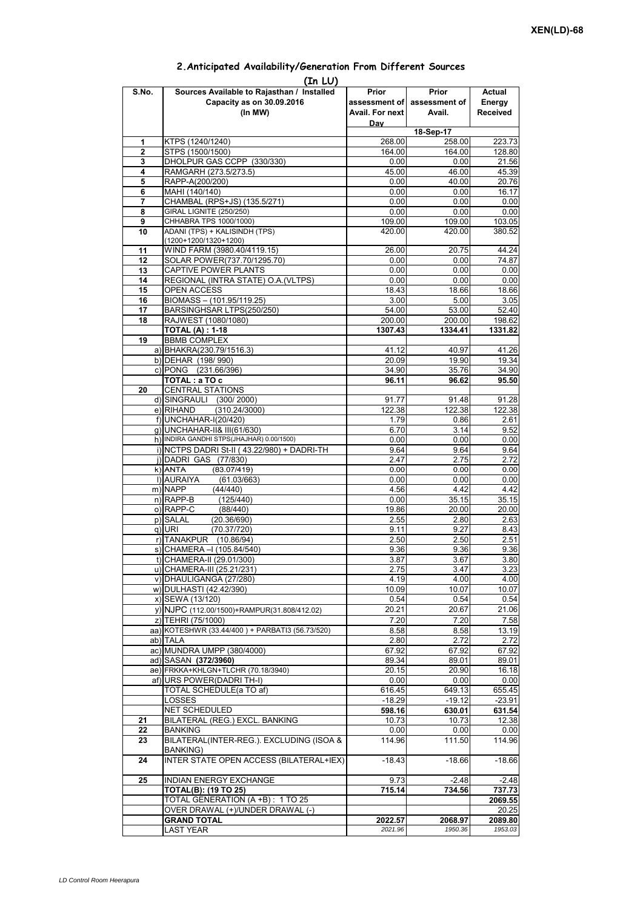| (In LU) |                                                     |                 |                             |                 |  |  |  |  |  |
|---------|-----------------------------------------------------|-----------------|-----------------------------|-----------------|--|--|--|--|--|
| S.No.   | Sources Available to Rajasthan / Installed          | Prior           | Prior                       | Actual          |  |  |  |  |  |
|         | Capacity as on 30.09.2016                           |                 | assessment of assessment of | Energy          |  |  |  |  |  |
|         | (In MW)                                             | Avail. For next | Avail.                      | <b>Received</b> |  |  |  |  |  |
|         |                                                     | Day             |                             |                 |  |  |  |  |  |
|         |                                                     |                 | 18-Sep-17                   |                 |  |  |  |  |  |
| 1       | KTPS (1240/1240)                                    | 268.00          | 258.00                      | 223.73          |  |  |  |  |  |
| 2       | STPS (1500/1500)                                    | 164.00          | 164.00                      | 128.80          |  |  |  |  |  |
| 3       | DHOLPUR GAS CCPP (330/330)                          | 0.00            | 0.00                        | 21.56           |  |  |  |  |  |
| 4       | RAMGARH (273.5/273.5)                               | 45.00           | 46.00                       | 45.39           |  |  |  |  |  |
| 5       | RAPP-A(200/200)                                     | 0.00            | 40.00                       | 20.76           |  |  |  |  |  |
| 6       | MAHI (140/140)                                      | 0.00            | 0.00                        | 16.17           |  |  |  |  |  |
| 7       | CHAMBAL (RPS+JS) (135.5/271)                        | 0.00            | 0.00                        | 0.00            |  |  |  |  |  |
| 8       | GIRAL LIGNITE (250/250)                             | 0.00            | 0.00                        | 0.00            |  |  |  |  |  |
| 9       | CHHABRA TPS 1000/1000)                              | 109.00          | 109.00                      | 103.05          |  |  |  |  |  |
| 10      | ADANI (TPS) + KALISINDH (TPS)                       | 420.00          | 420.00                      | 380.52          |  |  |  |  |  |
|         | $(1200+1200/1320+1200)$                             |                 |                             |                 |  |  |  |  |  |
| 11      | WIND FARM (3980.40/4119.15)                         | 26.00           | 20.75                       | 44.24           |  |  |  |  |  |
| 12      | SOLAR POWER(737.70/1295.70)                         | 0.00            | 0.00                        | 74.87           |  |  |  |  |  |
| 13      | CAPTIVE POWER PLANTS                                | 0.00            | 0.00                        | 0.00            |  |  |  |  |  |
| 14      | REGIONAL (INTRA STATE) O.A. (VLTPS)                 | 0.00            | 0.00                        | 0.00            |  |  |  |  |  |
| 15      | <b>OPEN ACCESS</b>                                  | 18.43           | 18.66                       | 18.66           |  |  |  |  |  |
| 16      | BIOMASS - (101.95/119.25)                           | 3.00            | 5.00                        | 3.05            |  |  |  |  |  |
| 17      | BARSINGHSAR LTPS(250/250)                           | 54.00           | 53.00                       | 52.40           |  |  |  |  |  |
| 18      | RAJWEST (1080/1080)                                 | 200.00          | 200.00                      | 198.62          |  |  |  |  |  |
|         | <b>TOTAL (A) : 1-18</b>                             | 1307.43         | 1334.41                     | 1331.82         |  |  |  |  |  |
| 19      | <b>BBMB COMPLEX</b>                                 |                 |                             |                 |  |  |  |  |  |
|         | a) BHAKRA(230.79/1516.3)                            | 41.12           | 40.97                       | 41.26           |  |  |  |  |  |
|         | b) DEHAR (198/990)                                  | 20.09           | 19.90                       | 19.34           |  |  |  |  |  |
|         | c) PONG (231.66/396)                                | 34.90           | 35.76                       | 34.90           |  |  |  |  |  |
|         |                                                     |                 |                             |                 |  |  |  |  |  |
|         | TOTAL: a TO c                                       | 96.11           | 96.62                       | 95.50           |  |  |  |  |  |
| 20      | <b>CENTRAL STATIONS</b>                             |                 |                             |                 |  |  |  |  |  |
|         | d) SINGRAULI (300/2000)                             | 91.77           | 91.48                       | 91.28           |  |  |  |  |  |
|         | (310.24/3000)<br>e) RIHAND                          | 122.38          | 122.38                      | 122.38          |  |  |  |  |  |
|         | f) UNCHAHAR-I(20/420)                               | 1.79            | 0.86                        | 2.61            |  |  |  |  |  |
|         | g) UNCHAHAR-II& III(61/630)                         | 6.70            | 3.14                        | 9.52            |  |  |  |  |  |
|         | h) INDIRA GANDHI STPS(JHAJHAR) 0.00/1500)           | 0.00            | 0.00                        | 0.00            |  |  |  |  |  |
|         | i) NCTPS DADRI St-II (43.22/980) + DADRI-TH         | 9.64            | 9.64                        | 9.64            |  |  |  |  |  |
|         | j) DADRI GAS (77/830)                               | 2.47            | 2.75                        | 2.72            |  |  |  |  |  |
|         | $k)$ ANTA<br>(83.07/419)                            | 0.00            | 0.00                        | 0.00            |  |  |  |  |  |
|         | I) AURAIYA<br>(61.03/663)                           | 0.00            | 0.00                        | 0.00            |  |  |  |  |  |
|         | m) NAPP<br>(44/440)                                 | 4.56            | 4.42                        | 4.42            |  |  |  |  |  |
|         | $n)$ RAPP-B<br>(125/440)                            | 0.00            | 35.15                       | 35.15           |  |  |  |  |  |
|         | o) RAPP-C<br>(88/440)                               | 19.86           | 20.00                       | 20.00           |  |  |  |  |  |
|         | p) SALAL<br>(20.36/690)                             | 2.55            | 2.80                        | 2.63            |  |  |  |  |  |
|         | q) URI<br>(70.37/720)                               | 9.11            | 9.27                        | 8.43            |  |  |  |  |  |
|         | r) TANAKPUR (10.86/94)                              | 2.50            | 2.50                        | 2.51            |  |  |  |  |  |
|         | s) CHAMERA - (105.84/540)                           | 9.36            | 9.36                        | 9.36            |  |  |  |  |  |
|         | t) CHAMERA-II (29.01/300)                           | 3.87            | 3.67                        | 3.80            |  |  |  |  |  |
|         | u) CHAMERA-III (25.21/231)                          | 2.75            | 3.47                        | 3.23            |  |  |  |  |  |
|         | v) DHAULIGANGA (27/280)                             | 4.19            | 4.00                        | 4.00            |  |  |  |  |  |
|         | w) DULHASTI (42.42/390)                             | 10.09           | 10.07                       | 10.07           |  |  |  |  |  |
|         | x) SEWA (13/120)                                    | 0.54            | 0.54                        | 0.54            |  |  |  |  |  |
|         | y) NJPC (112.00/1500) + RAMPUR(31.808/412.02)       | 20.21           | 20.67                       | 21.06           |  |  |  |  |  |
|         | z) TEHRI (75/1000)                                  | 7.20            | 7.20                        | 7.58            |  |  |  |  |  |
|         | aa) KOTESHWR (33.44/400) + PARBATI3 (56.73/520)     | 8.58            | 8.58                        | 13.19           |  |  |  |  |  |
|         | ab) TALA                                            | 2.80            | 2.72                        | 2.72            |  |  |  |  |  |
|         | ac) MUNDRA UMPP (380/4000)                          | 67.92           | 67.92                       | 67.92           |  |  |  |  |  |
|         | ad) SASAN (372/3960)                                | 89.34           | 89.01                       | 89.01           |  |  |  |  |  |
|         | ae) FRKKA+KHLGN+TLCHR (70.18/3940)                  | 20.15           | 20.90                       | 16.18           |  |  |  |  |  |
|         |                                                     | 0.00            | 0.00                        | 0.00            |  |  |  |  |  |
|         | af) URS POWER(DADRI TH-I)                           |                 |                             |                 |  |  |  |  |  |
|         | TOTAL SCHEDULE(a TO af)                             | 616.45          | 649.13                      | 655.45          |  |  |  |  |  |
|         | LOSSES                                              | $-18.29$        | $-19.12$                    | $-23.91$        |  |  |  |  |  |
|         | NET SCHEDULED                                       | 598.16          | 630.01                      | 631.54          |  |  |  |  |  |
| 21      | BILATERAL (REG.) EXCL. BANKING                      | 10.73           | 10.73                       | 12.38           |  |  |  |  |  |
| 22      | <b>BANKING</b>                                      | 0.00            | 0.00                        | 0.00            |  |  |  |  |  |
| 23      | BILATERAL(INTER-REG.). EXCLUDING (ISOA &            | 114.96          | 111.50                      | 114.96          |  |  |  |  |  |
| 24      | BANKING)<br>INTER STATE OPEN ACCESS (BILATERAL+IEX) | $-18.43$        | $-18.66$                    | $-18.66$        |  |  |  |  |  |
|         |                                                     |                 |                             |                 |  |  |  |  |  |
| 25      | INDIAN ENERGY EXCHANGE                              | 9.73            | $-2.48$                     | $-2.48$         |  |  |  |  |  |
|         | <b>TOTAL(B): (19 TO 25)</b>                         | 715.14          | 734.56                      | 737.73          |  |  |  |  |  |
|         | TOTAL GENERATION (A +B) : 1 TO 25                   |                 |                             | 2069.55         |  |  |  |  |  |
|         | OVER DRAWAL (+)/UNDER DRAWAL (-)                    |                 |                             | 20.25           |  |  |  |  |  |
|         | <b>GRAND TOTAL</b>                                  | 2022.57         | 2068.97                     | 2089.80         |  |  |  |  |  |
|         | <b>LAST YEAR</b>                                    | 2021.96         | 1950.36                     | 1953.03         |  |  |  |  |  |

## **2.Anticipated Availability/Generation From Different Sources**